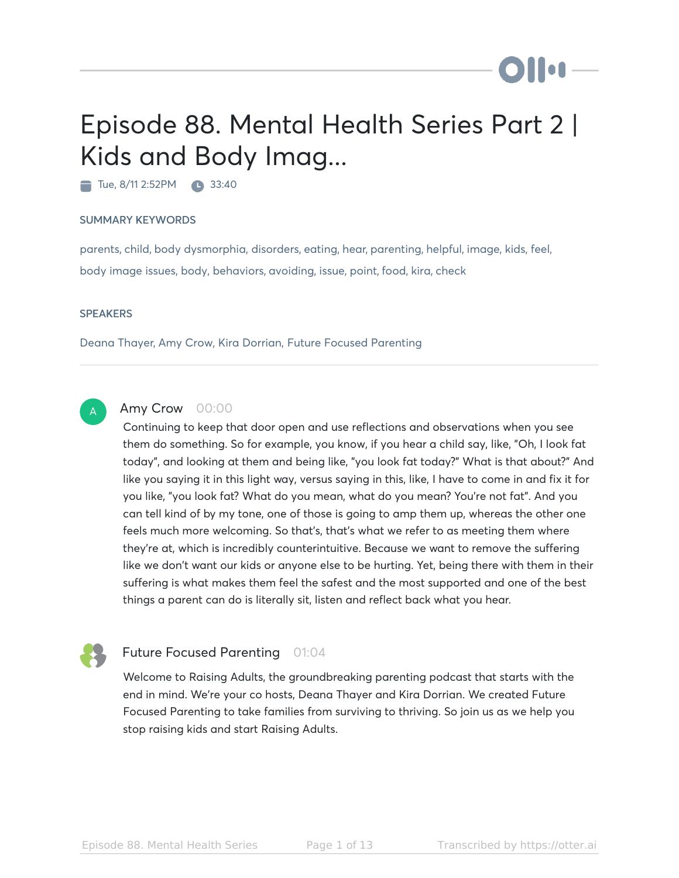# Episode 88. Mental Health Series Part 2 | Kids and Body Imag...

Tue, 8/11 2:52 PM 33:40

#### SUMMARY KEYWORDS

parents, child, body dysmorphia, disorders, eating, hear, parenting, helpful, image, kids, feel, body image issues, body, behaviors, avoiding, issue, point, food, kira, check

#### **SPEAKERS**

Deana Thayer, Amy Crow, Kira Dorrian, Future Focused Parenting



#### Amy Crow 00:00

Continuing to keep that door open and use reflections and observations when you see them do something. So for example, you know, if you hear a child say, like, "Oh, I look fat today", and looking at them and being like, "you look fat today?" What is that about?" And like you saying it in this light way, versus saying in this, like, I have to come in and fix it for you like, "you look fat? What do you mean, what do you mean? You're not fat". And you can tell kind of by my tone, one of those is going to amp them up, whereas the other one feels much more welcoming. So that's, that's what we refer to as meeting them where they're at, which is incredibly counterintuitive. Because we want to remove the suffering like we don't want our kids or anyone else to be hurting. Yet, being there with them in their suffering is what makes them feel the safest and the most supported and one of the best things a parent can do is literally sit, listen and reflect back what you hear.



#### Future Focused Parenting 01:04

Welcome to Raising Adults, the groundbreaking parenting podcast that starts with the end in mind. We're your co hosts, Deana Thayer and Kira Dorrian. We created Future Focused Parenting to take families from surviving to thriving. So join us as we help you stop raising kids and start Raising Adults.

**Diloi**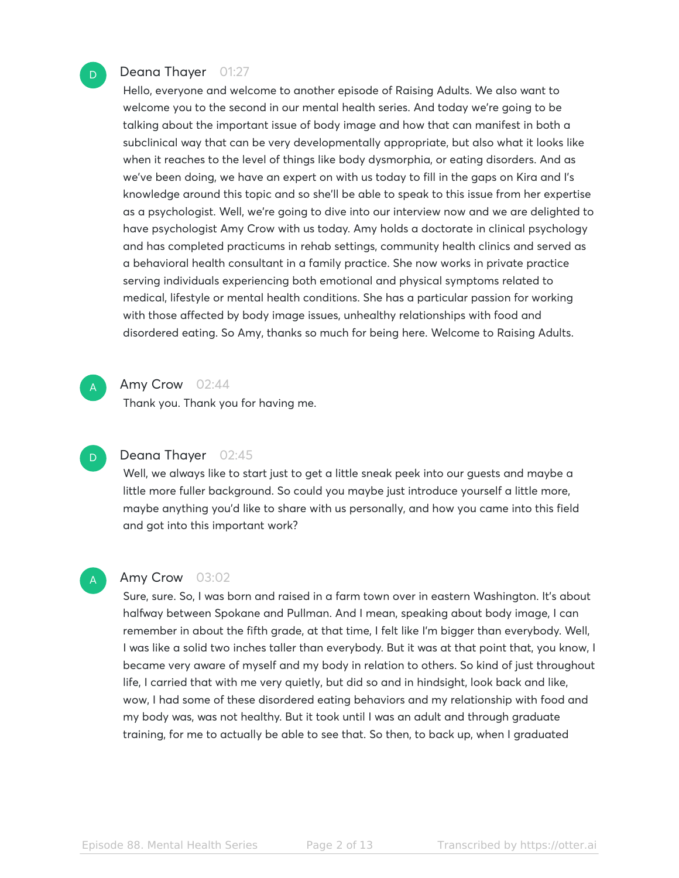#### Deana Thayer 01:27

Hello, everyone and welcome to another episode of Raising Adults. We also want to welcome you to the second in our mental health series. And today we're going to be talking about the important issue of body image and how that can manifest in both a subclinical way that can be very developmentally appropriate, but also what it looks like when it reaches to the level of things like body dysmorphia, or eating disorders. And as we've been doing, we have an expert on with us today to fill in the gaps on Kira and I's knowledge around this topic and so she'll be able to speak to this issue from her expertise as a psychologist. Well, we're going to dive into our interview now and we are delighted to have psychologist Amy Crow with us today. Amy holds a doctorate in clinical psychology and has completed practicums in rehab settings, community health clinics and served as a behavioral health consultant in a family practice. She now works in private practice serving individuals experiencing both emotional and physical symptoms related to medical, lifestyle or mental health conditions. She has a particular passion for working with those affected by body image issues, unhealthy relationships with food and disordered eating. So Amy, thanks so much for being here. Welcome to Raising Adults.



D

#### Amy Crow 02:44

Thank you. Thank you for having me.

#### D

#### Deana Thayer 02:45

Well, we always like to start just to get a little sneak peek into our guests and maybe a little more fuller background. So could you maybe just introduce yourself a little more, maybe anything you'd like to share with us personally, and how you came into this field and got into this important work?



#### Amy Crow 03:02

Sure, sure. So, I was born and raised in a farm town over in eastern Washington. It's about halfway between Spokane and Pullman. And I mean, speaking about body image, I can remember in about the fifth grade, at that time, I felt like I'm bigger than everybody. Well, I was like a solid two inches taller than everybody. But it was at that point that, you know, I became very aware of myself and my body in relation to others. So kind of just throughout life, I carried that with me very quietly, but did so and in hindsight, look back and like, wow, I had some of these disordered eating behaviors and my relationship with food and my body was, was not healthy. But it took until I was an adult and through graduate training, for me to actually be able to see that. So then, to back up, when I graduated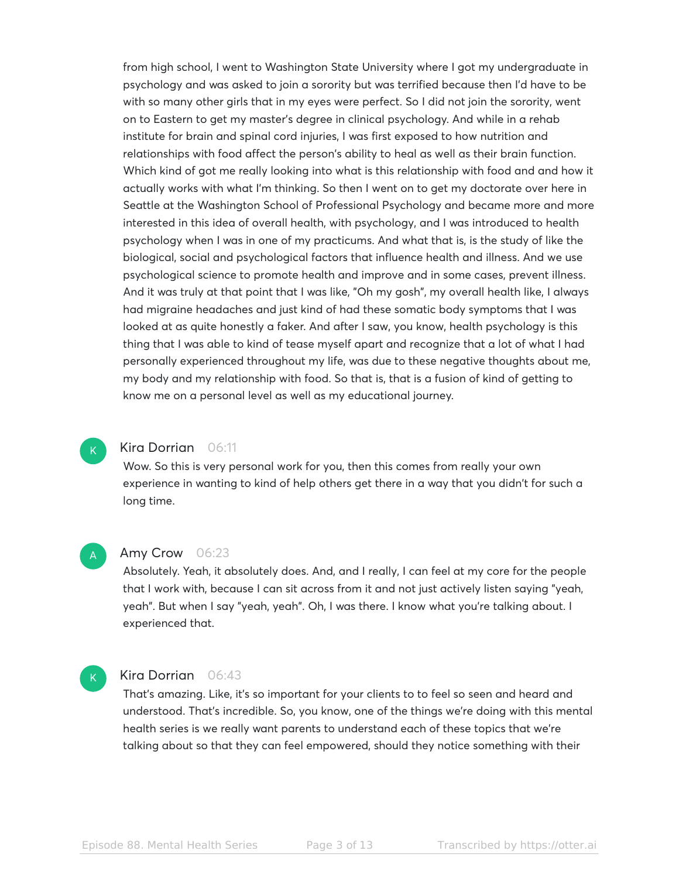from high school, I went to Washington State University where I got my undergraduate in psychology and was asked to join a sorority but was terrified because then I'd have to be with so many other girls that in my eyes were perfect. So I did not join the sorority, went on to Eastern to get my master's degree in clinical psychology. And while in a rehab institute for brain and spinal cord injuries, I was first exposed to how nutrition and relationships with food affect the person's ability to heal as well as their brain function. Which kind of got me really looking into what is this relationship with food and and how it actually works with what I'm thinking. So then I went on to get my doctorate over here in Seattle at the Washington School of Professional Psychology and became more and more interested in this idea of overall health, with psychology, and I was introduced to health psychology when I was in one of my practicums. And what that is, is the study of like the biological, social and psychological factors that influence health and illness. And we use psychological science to promote health and improve and in some cases, prevent illness. And it was truly at that point that I was like, "Oh my gosh", my overall health like, I always had migraine headaches and just kind of had these somatic body symptoms that I was looked at as quite honestly a faker. And after I saw, you know, health psychology is this thing that I was able to kind of tease myself apart and recognize that a lot of what I had personally experienced throughout my life, was due to these negative thoughts about me, my body and my relationship with food. So that is, that is a fusion of kind of getting to know me on a personal level as well as my educational journey.

#### Kira Dorrian 06:11

Wow. So this is very personal work for you, then this comes from really your own experience in wanting to kind of help others get there in a way that you didn't for such a long time.

#### Amy Crow 06:23 A

Absolutely. Yeah, it absolutely does. And, and I really, I can feel at my core for the people that I work with, because I can sit across from it and not just actively listen saying "yeah, yeah". But when I say "yeah, yeah". Oh, I was there. I know what you're talking about. I experienced that.

## $\mathsf{K}_{\scriptscriptstyle{+}}$

 $\mathsf{K}_{\scriptscriptstyle{+}}$ 

#### Kira Dorrian 06:43

That's amazing. Like, it's so important for your clients to to feel so seen and heard and understood. That's incredible. So, you know, one of the things we're doing with this mental health series is we really want parents to understand each of these topics that we're talking about so that they can feel empowered, should they notice something with their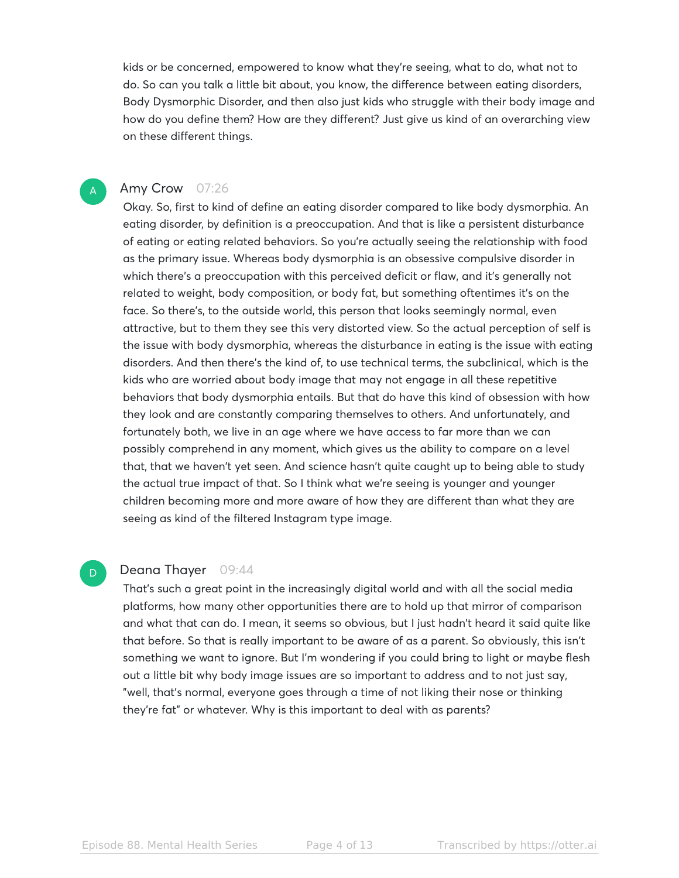kids or be concerned, empowered to know what they're seeing, what to do, what not to do. So can you talk a little bit about, you know, the difference between eating disorders, Body Dysmorphic Disorder, and then also just kids who struggle with their body image and how do you define them? How are they different? Just give us kind of an overarching view on these different things.

#### Amy Crow 07:26

A

D

Okay. So, first to kind of define an eating disorder compared to like body dysmorphia. An eating disorder, by definition is a preoccupation. And that is like a persistent disturbance of eating or eating related behaviors. So you're actually seeing the relationship with food as the primary issue. Whereas body dysmorphia is an obsessive compulsive disorder in which there's a preoccupation with this perceived deficit or flaw, and it's generally not related to weight, body composition, or body fat, but something oftentimes it's on the face. So there's, to the outside world, this person that looks seemingly normal, even attractive, but to them they see this very distorted view. So the actual perception of self is the issue with body dysmorphia, whereas the disturbance in eating is the issue with eating disorders. And then there's the kind of, to use technical terms, the subclinical, which is the kids who are worried about body image that may not engage in all these repetitive behaviors that body dysmorphia entails. But that do have this kind of obsession with how they look and are constantly comparing themselves to others. And unfortunately, and fortunately both, we live in an age where we have access to far more than we can possibly comprehend in any moment, which gives us the ability to compare on a level that, that we haven't yet seen. And science hasn't quite caught up to being able to study the actual true impact of that. So I think what we're seeing is younger and younger children becoming more and more aware of how they are different than what they are seeing as kind of the filtered Instagram type image.

#### Deana Thayer 09:44

That's such a great point in the increasingly digital world and with all the social media platforms, how many other opportunities there are to hold up that mirror of comparison and what that can do. I mean, it seems so obvious, but I just hadn't heard it said quite like that before. So that is really important to be aware of as a parent. So obviously, this isn't something we want to ignore. But I'm wondering if you could bring to light or maybe flesh out a little bit why body image issues are so important to address and to not just say, "well, that's normal, everyone goes through a time of not liking their nose or thinking they're fat" or whatever. Why is this important to deal with as parents?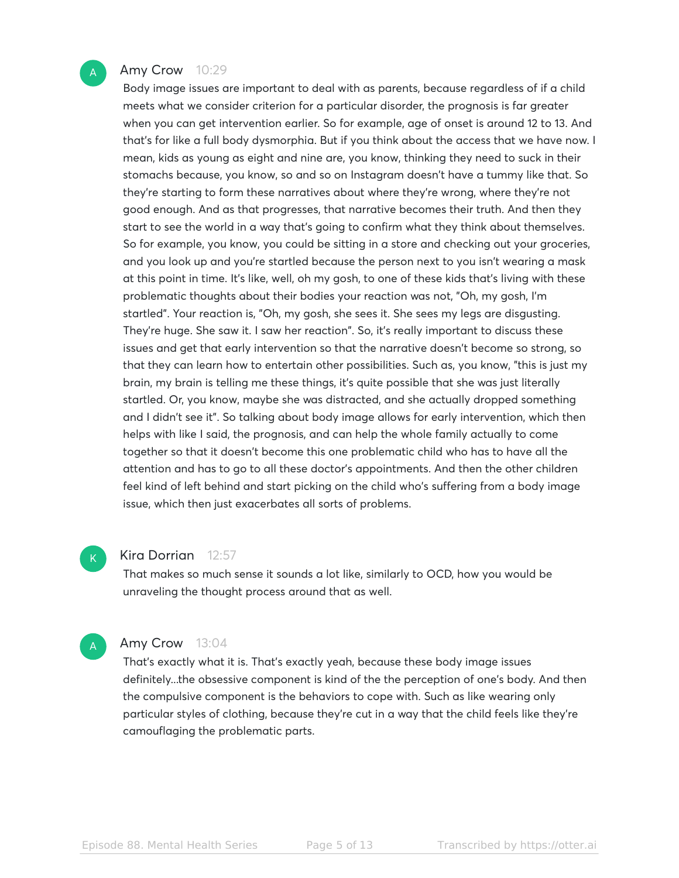

#### Amy Crow 10:29

Body image issues are important to deal with as parents, because regardless of if a child meets what we consider criterion for a particular disorder, the prognosis is far greater when you can get intervention earlier. So for example, age of onset is around 12 to 13. And that's for like a full body dysmorphia. But if you think about the access that we have now. I mean, kids as young as eight and nine are, you know, thinking they need to suck in their stomachs because, you know, so and so on Instagram doesn't have a tummy like that. So they're starting to form these narratives about where they're wrong, where they're not good enough. And as that progresses, that narrative becomes their truth. And then they start to see the world in a way that's going to confirm what they think about themselves. So for example, you know, you could be sitting in a store and checking out your groceries, and you look up and you're startled because the person next to you isn't wearing a mask at this point in time. It's like, well, oh my gosh, to one of these kids that's living with these problematic thoughts about their bodies your reaction was not, "Oh, my gosh, I'm startled". Your reaction is, "Oh, my gosh, she sees it. She sees my legs are disgusting. They're huge. She saw it. I saw her reaction". So, it's really important to discuss these issues and get that early intervention so that the narrative doesn't become so strong, so that they can learn how to entertain other possibilities. Such as, you know, "this is just my brain, my brain is telling me these things, it's quite possible that she was just literally startled. Or, you know, maybe she was distracted, and she actually dropped something and I didn't see it". So talking about body image allows for early intervention, which then helps with like I said, the prognosis, and can help the whole family actually to come together so that it doesn't become this one problematic child who has to have all the attention and has to go to all these doctor's appointments. And then the other children feel kind of left behind and start picking on the child who's suffering from a body image issue, which then just exacerbates all sorts of problems.

#### Kira Dorrian 12:57

 $K$ 

A

That makes so much sense it sounds a lot like, similarly to OCD, how you would be unraveling the thought process around that as well.

#### Amy Crow 13:04

That's exactly what it is. That's exactly yeah, because these body image issues definitely...the obsessive component is kind of the the perception of one's body. And then the compulsive component is the behaviors to cope with. Such as like wearing only particular styles of clothing, because they're cut in a way that the child feels like they're camouflaging the problematic parts.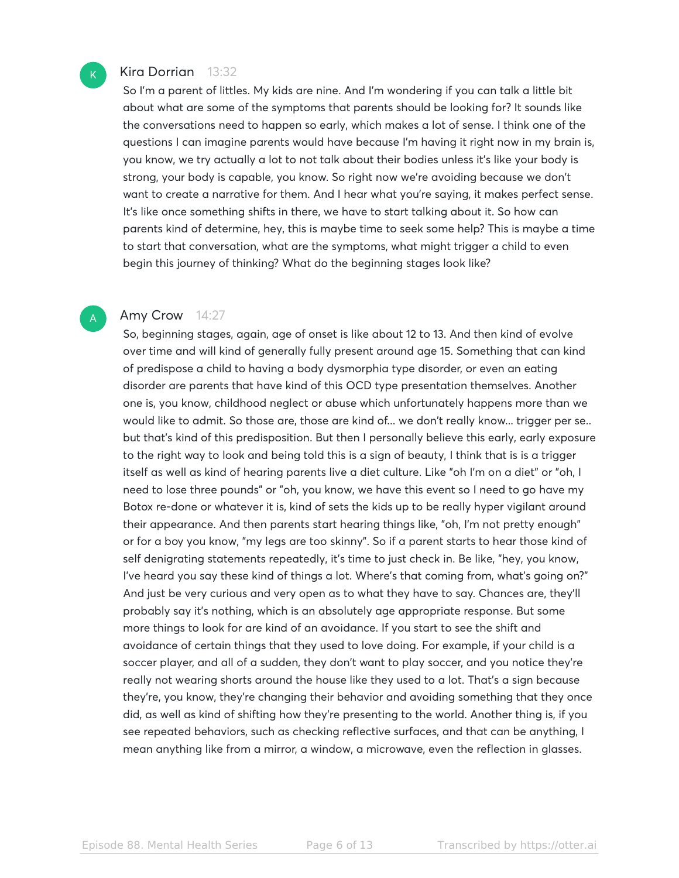#### Kira Dorrian 13:32

 $\mathsf{K}_{\scriptscriptstyle{+}}$ 

A

So I'm a parent of littles. My kids are nine. And I'm wondering if you can talk a little bit about what are some of the symptoms that parents should be looking for? It sounds like the conversations need to happen so early, which makes a lot of sense. I think one of the questions I can imagine parents would have because I'm having it right now in my brain is, you know, we try actually a lot to not talk about their bodies unless it's like your body is strong, your body is capable, you know. So right now we're avoiding because we don't want to create a narrative for them. And I hear what you're saying, it makes perfect sense. It's like once something shifts in there, we have to start talking about it. So how can parents kind of determine, hey, this is maybe time to seek some help? This is maybe a time to start that conversation, what are the symptoms, what might trigger a child to even begin this journey of thinking? What do the beginning stages look like?

#### Amy Crow 14:27

So, beginning stages, again, age of onset is like about 12 to 13. And then kind of evolve over time and will kind of generally fully present around age 15. Something that can kind of predispose a child to having a body dysmorphia type disorder, or even an eating disorder are parents that have kind of this OCD type presentation themselves. Another one is, you know, childhood neglect or abuse which unfortunately happens more than we would like to admit. So those are, those are kind of... we don't really know... trigger per se.. but that's kind of this predisposition. But then I personally believe this early, early exposure to the right way to look and being told this is a sign of beauty, I think that is is a trigger itself as well as kind of hearing parents live a diet culture. Like "oh I'm on a diet" or "oh, I need to lose three pounds" or "oh, you know, we have this event so I need to go have my Botox re-done or whatever it is, kind of sets the kids up to be really hyper vigilant around their appearance. And then parents start hearing things like, "oh, I'm not pretty enough" or for a boy you know, "my legs are too skinny". So if a parent starts to hear those kind of self denigrating statements repeatedly, it's time to just check in. Be like, "hey, you know, I've heard you say these kind of things a lot. Where's that coming from, what's going on?" And just be very curious and very open as to what they have to say. Chances are, they'll probably say it's nothing, which is an absolutely age appropriate response. But some more things to look for are kind of an avoidance. If you start to see the shift and avoidance of certain things that they used to love doing. For example, if your child is a soccer player, and all of a sudden, they don't want to play soccer, and you notice they're really not wearing shorts around the house like they used to a lot. That's a sign because they're, you know, they're changing their behavior and avoiding something that they once did, as well as kind of shifting how they're presenting to the world. Another thing is, if you see repeated behaviors, such as checking reflective surfaces, and that can be anything, I mean anything like from a mirror, a window, a microwave, even the reflection in glasses.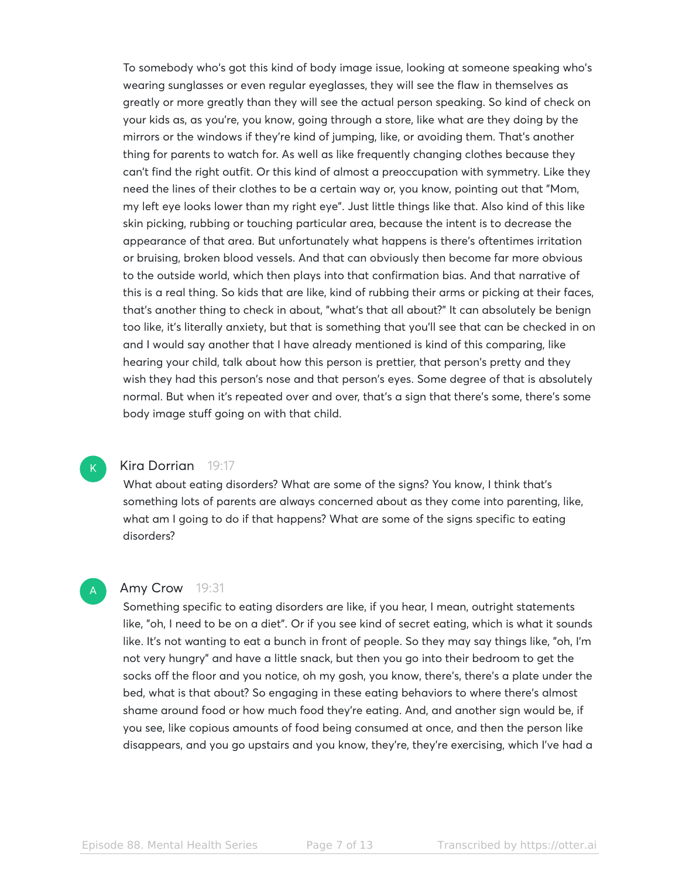To somebody who's got this kind of body image issue, looking at someone speaking who's wearing sunglasses or even regular eyeglasses, they will see the flaw in themselves as greatly or more greatly than they will see the actual person speaking. So kind of check on your kids as, as you're, you know, going through a store, like what are they doing by the mirrors or the windows if they're kind of jumping, like, or avoiding them. That's another thing for parents to watch for. As well as like frequently changing clothes because they can't find the right outfit. Or this kind of almost a preoccupation with symmetry. Like they need the lines of their clothes to be a certain way or, you know, pointing out that "Mom, my left eye looks lower than my right eye". Just little things like that. Also kind of this like skin picking, rubbing or touching particular area, because the intent is to decrease the appearance of that area. But unfortunately what happens is there's oftentimes irritation or bruising, broken blood vessels. And that can obviously then become far more obvious to the outside world, which then plays into that confirmation bias. And that narrative of this is a real thing. So kids that are like, kind of rubbing their arms or picking at their faces, that's another thing to check in about, "what's that all about?" It can absolutely be benign too like, it's literally anxiety, but that is something that you'll see that can be checked in on and I would say another that I have already mentioned is kind of this comparing, like hearing your child, talk about how this person is prettier, that person's pretty and they wish they had this person's nose and that person's eyes. Some degree of that is absolutely normal. But when it's repeated over and over, that's a sign that there's some, there's some body image stuff going on with that child.

#### Kira Dorrian 19:17

 $\mathsf{K}_{\scriptscriptstyle{+}}$ 

A

What about eating disorders? What are some of the signs? You know, I think that's something lots of parents are always concerned about as they come into parenting, like, what am I going to do if that happens? What are some of the signs specific to eating disorders?

#### Amy Crow 19:31

Something specific to eating disorders are like, if you hear, I mean, outright statements like, "oh, I need to be on a diet". Or if you see kind of secret eating, which is what it sounds like. It's not wanting to eat a bunch in front of people. So they may say things like, "oh, I'm not very hungry" and have a little snack, but then you go into their bedroom to get the socks off the floor and you notice, oh my gosh, you know, there's, there's a plate under the bed, what is that about? So engaging in these eating behaviors to where there's almost shame around food or how much food they're eating. And, and another sign would be, if you see, like copious amounts of food being consumed at once, and then the person like disappears, and you go upstairs and you know, they're, they're exercising, which I've had a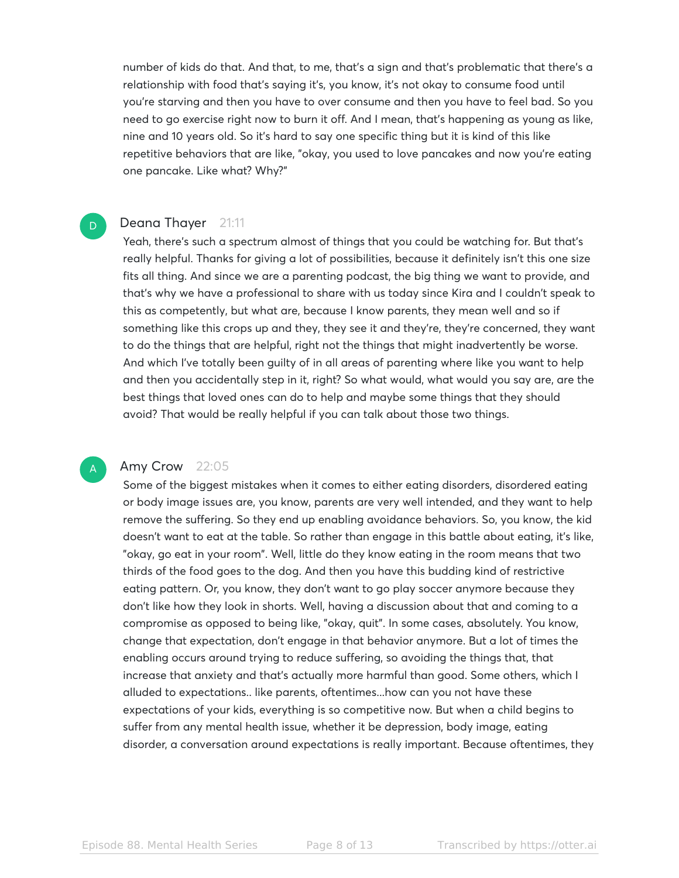number of kids do that. And that, to me, that's a sign and that's problematic that there's a relationship with food that's saying it's, you know, it's not okay to consume food until you're starving and then you have to over consume and then you have to feel bad. So you need to go exercise right now to burn it off. And I mean, that's happening as young as like, nine and 10 years old. So it's hard to say one specific thing but it is kind of this like repetitive behaviors that are like, "okay, you used to love pancakes and now you're eating one pancake. Like what? Why?"

#### Deana Thayer 21:11

D

A

Yeah, there's such a spectrum almost of things that you could be watching for. But that's really helpful. Thanks for giving a lot of possibilities, because it definitely isn't this one size fits all thing. And since we are a parenting podcast, the big thing we want to provide, and that's why we have a professional to share with us today since Kira and I couldn't speak to this as competently, but what are, because I know parents, they mean well and so if something like this crops up and they, they see it and they're, they're concerned, they want to do the things that are helpful, right not the things that might inadvertently be worse. And which I've totally been guilty of in all areas of parenting where like you want to help and then you accidentally step in it, right? So what would, what would you say are, are the best things that loved ones can do to help and maybe some things that they should avoid? That would be really helpful if you can talk about those two things.

#### Amy Crow 22:05

Some of the biggest mistakes when it comes to either eating disorders, disordered eating or body image issues are, you know, parents are very well intended, and they want to help remove the suffering. So they end up enabling avoidance behaviors. So, you know, the kid doesn't want to eat at the table. So rather than engage in this battle about eating, it's like, "okay, go eat in your room". Well, little do they know eating in the room means that two thirds of the food goes to the dog. And then you have this budding kind of restrictive eating pattern. Or, you know, they don't want to go play soccer anymore because they don't like how they look in shorts. Well, having a discussion about that and coming to a compromise as opposed to being like, "okay, quit". In some cases, absolutely. You know, change that expectation, don't engage in that behavior anymore. But a lot of times the enabling occurs around trying to reduce suffering, so avoiding the things that, that increase that anxiety and that's actually more harmful than good. Some others, which I alluded to expectations.. like parents, oftentimes...how can you not have these expectations of your kids, everything is so competitive now. But when a child begins to suffer from any mental health issue, whether it be depression, body image, eating disorder, a conversation around expectations is really important. Because oftentimes, they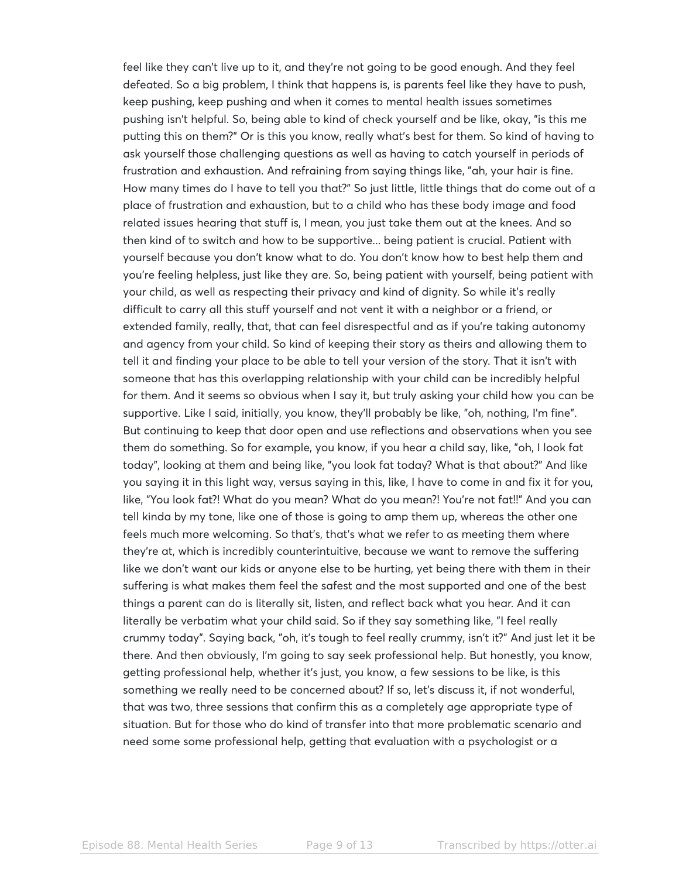feel like they can't live up to it, and they're not going to be good enough. And they feel defeated. So a big problem, I think that happens is, is parents feel like they have to push, keep pushing, keep pushing and when it comes to mental health issues sometimes pushing isn't helpful. So, being able to kind of check yourself and be like, okay, "is this me putting this on them?" Or is this you know, really what's best for them. So kind of having to ask yourself those challenging questions as well as having to catch yourself in periods of frustration and exhaustion. And refraining from saying things like, "ah, your hair is fine. How many times do I have to tell you that?" So just little, little things that do come out of a place of frustration and exhaustion, but to a child who has these body image and food related issues hearing that stuff is, I mean, you just take them out at the knees. And so then kind of to switch and how to be supportive... being patient is crucial. Patient with yourself because you don't know what to do. You don't know how to best help them and you're feeling helpless, just like they are. So, being patient with yourself, being patient with your child, as well as respecting their privacy and kind of dignity. So while it's really difficult to carry all this stuff yourself and not vent it with a neighbor or a friend, or extended family, really, that, that can feel disrespectful and as if you're taking autonomy and agency from your child. So kind of keeping their story as theirs and allowing them to tell it and finding your place to be able to tell your version of the story. That it isn't with someone that has this overlapping relationship with your child can be incredibly helpful for them. And it seems so obvious when I say it, but truly asking your child how you can be supportive. Like I said, initially, you know, they'll probably be like, "oh, nothing, I'm fine". But continuing to keep that door open and use reflections and observations when you see them do something. So for example, you know, if you hear a child say, like, "oh, I look fat today", looking at them and being like, "you look fat today? What is that about?" And like you saying it in this light way, versus saying in this, like, I have to come in and fix it for you, like, "You look fat?! What do you mean? What do you mean?! You're not fat!!" And you can tell kinda by my tone, like one of those is going to amp them up, whereas the other one feels much more welcoming. So that's, that's what we refer to as meeting them where they're at, which is incredibly counterintuitive, because we want to remove the suffering like we don't want our kids or anyone else to be hurting, yet being there with them in their suffering is what makes them feel the safest and the most supported and one of the best things a parent can do is literally sit, listen, and reflect back what you hear. And it can literally be verbatim what your child said. So if they say something like, "I feel really crummy today". Saying back, "oh, it's tough to feel really crummy, isn't it?" And just let it be there. And then obviously, I'm going to say seek professional help. But honestly, you know, getting professional help, whether it's just, you know, a few sessions to be like, is this something we really need to be concerned about? If so, let's discuss it, if not wonderful, that was two, three sessions that confirm this as a completely age appropriate type of situation. But for those who do kind of transfer into that more problematic scenario and need some some professional help, getting that evaluation with a psychologist or a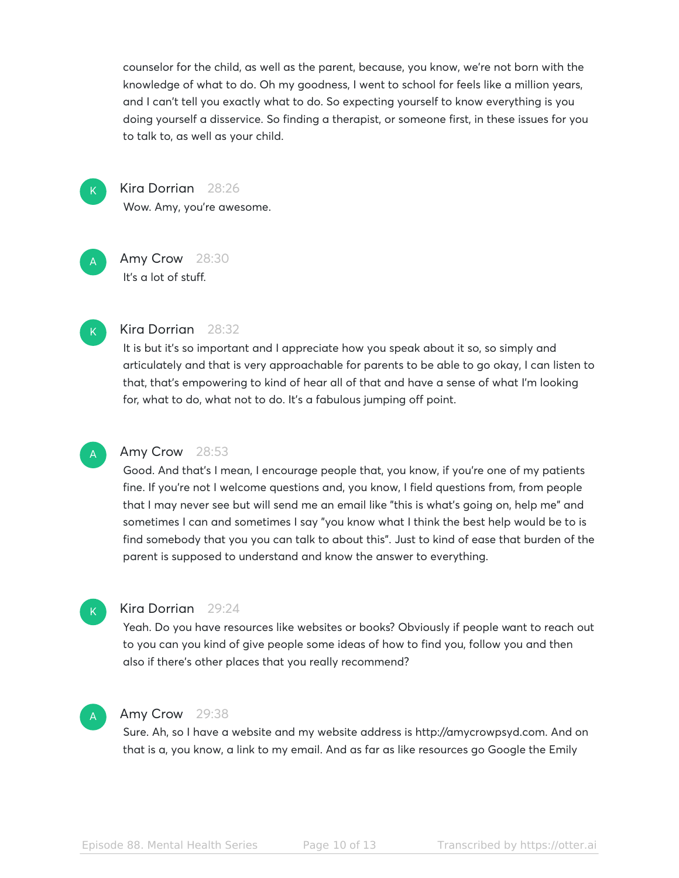counselor for the child, as well as the parent, because, you know, we're not born with the knowledge of what to do. Oh my goodness, I went to school for feels like a million years, and I can't tell you exactly what to do. So expecting yourself to know everything is you doing yourself a disservice. So finding a therapist, or someone first, in these issues for you to talk to, as well as your child.

 $\mathsf{K}_{\scriptscriptstyle{+}}$ 

A

Kira Dorrian 28:26 Wow. Amy, you're awesome.

Amy Crow 28:30 It's a lot of stuff.



#### Kira Dorrian 28:32

It is but it's so important and I appreciate how you speak about it so, so simply and articulately and that is very approachable for parents to be able to go okay, I can listen to that, that's empowering to kind of hear all of that and have a sense of what I'm looking for, what to do, what not to do. It's a fabulous jumping off point.

### A

#### Amy Crow 28:53

Good. And that's I mean, I encourage people that, you know, if you're one of my patients fine. If you're not I welcome questions and, you know, I field questions from, from people that I may never see but will send me an email like "this is what's going on, help me" and sometimes I can and sometimes I say "you know what I think the best help would be to is find somebody that you you can talk to about this". Just to kind of ease that burden of the parent is supposed to understand and know the answer to everything.



#### Kira Dorrian 29:24

Yeah. Do you have resources like websites or books? Obviously if people want to reach out to you can you kind of give people some ideas of how to find you, follow you and then also if there's other places that you really recommend?

#### A

#### Amy Crow 29:38

Sure. Ah, so I have a website and my website address is http://amycrowpsyd.com. And on that is a, you know, a link to my email. And as far as like resources go Google the Emily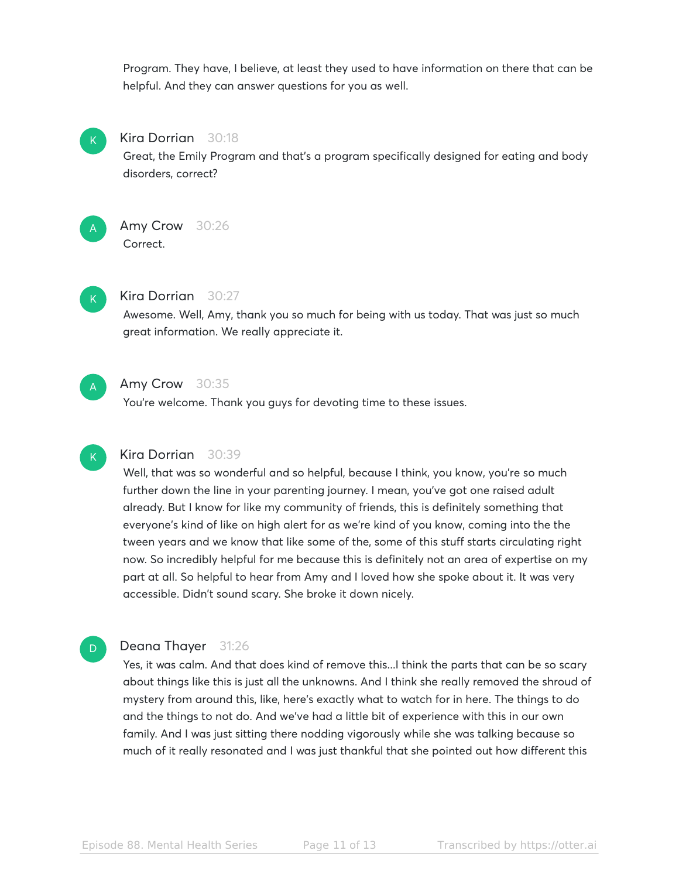Program. They have, I believe, at least they used to have information on there that can be helpful. And they can answer questions for you as well.



#### Kira Dorrian 30:18

Great, the Emily Program and that's a program specifically designed for eating and body disorders, correct?



#### Amy Crow 30:26 **Correct**



#### Kira Dorrian 30:27

Awesome. Well, Amy, thank you so much for being with us today. That was just so much great information. We really appreciate it.



#### Amy Crow 30:35

You're welcome. Thank you guys for devoting time to these issues.



D

#### Kira Dorrian 30:39

Well, that was so wonderful and so helpful, because I think, you know, you're so much further down the line in your parenting journey. I mean, you've got one raised adult already. But I know for like my community of friends, this is definitely something that everyone's kind of like on high alert for as we're kind of you know, coming into the the tween years and we know that like some of the, some of this stuff starts circulating right now. So incredibly helpful for me because this is definitely not an area of expertise on my part at all. So helpful to hear from Amy and I loved how she spoke about it. It was very accessible. Didn't sound scary. She broke it down nicely.

#### Deana Thayer 31:26

Yes, it was calm. And that does kind of remove this...I think the parts that can be so scary about things like this is just all the unknowns. And I think she really removed the shroud of mystery from around this, like, here's exactly what to watch for in here. The things to do and the things to not do. And we've had a little bit of experience with this in our own family. And I was just sitting there nodding vigorously while she was talking because so much of it really resonated and I was just thankful that she pointed out how different this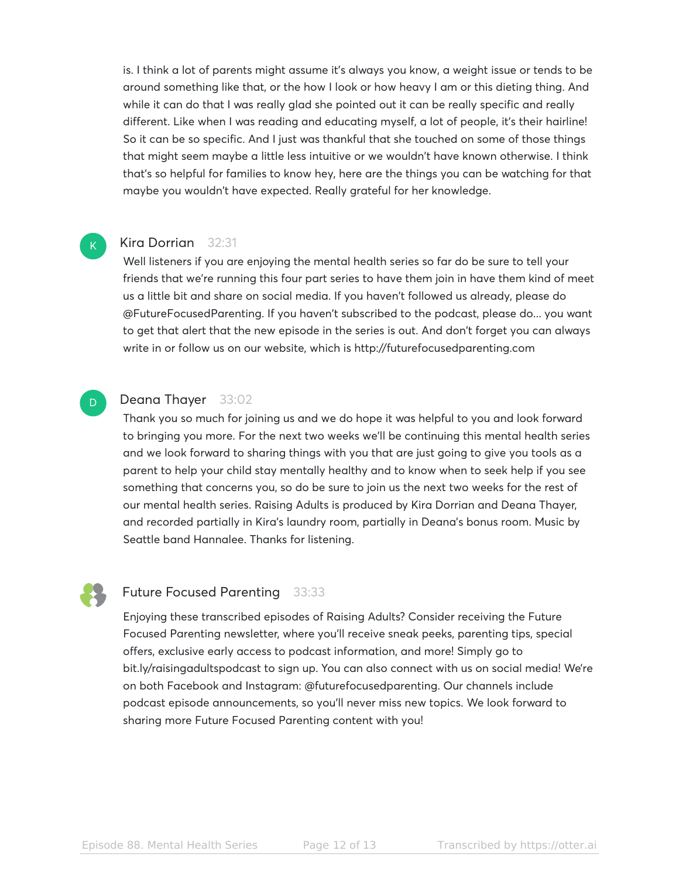is. I think a lot of parents might assume it's always you know, a weight issue or tends to be around something like that, or the how I look or how heavy I am or this dieting thing. And while it can do that I was really glad she pointed out it can be really specific and really different. Like when I was reading and educating myself, a lot of people, it's their hairline! So it can be so specific. And I just was thankful that she touched on some of those things that might seem maybe a little less intuitive or we wouldn't have known otherwise. I think that's so helpful for families to know hey, here are the things you can be watching for that maybe you wouldn't have expected. Really grateful for her knowledge.

#### Kira Dorrian 32:31

Well listeners if you are enjoying the mental health series so far do be sure to tell your friends that we're running this four part series to have them join in have them kind of meet us a little bit and share on social media. If you haven't followed us already, please do @FutureFocusedParenting. If you haven't subscribed to the podcast, please do... you want to get that alert that the new episode in the series is out. And don't forget you can always write in or follow us on our website, which is http://futurefocusedparenting.com

#### Deana Thayer 33:02

Thank you so much for joining us and we do hope it was helpful to you and look forward to bringing you more. For the next two weeks we'll be continuing this mental health series and we look forward to sharing things with you that are just going to give you tools as a parent to help your child stay mentally healthy and to know when to seek help if you see something that concerns you, so do be sure to join us the next two weeks for the rest of our mental health series. Raising Adults is produced by Kira Dorrian and Deana Thayer, and recorded partially in Kira's laundry room, partially in Deana's bonus room. Music by Seattle band Hannalee. Thanks for listening.

 $\mathsf{K}_{\scriptscriptstyle{+}}$ 

D

#### Future Focused Parenting 33:33

Enjoying these transcribed episodes of Raising Adults? Consider receiving the Future Focused Parenting newsletter, where you'll receive sneak peeks, parenting tips, special offers, exclusive early access to podcast information, and more! Simply go to bit.ly/raisingadultspodcast to sign up. You can also connect with us on social media! We're on both Facebook and Instagram: @futurefocusedparenting. Our channels include podcast episode announcements, so you'll never miss new topics. We look forward to sharing more Future Focused Parenting content with you!